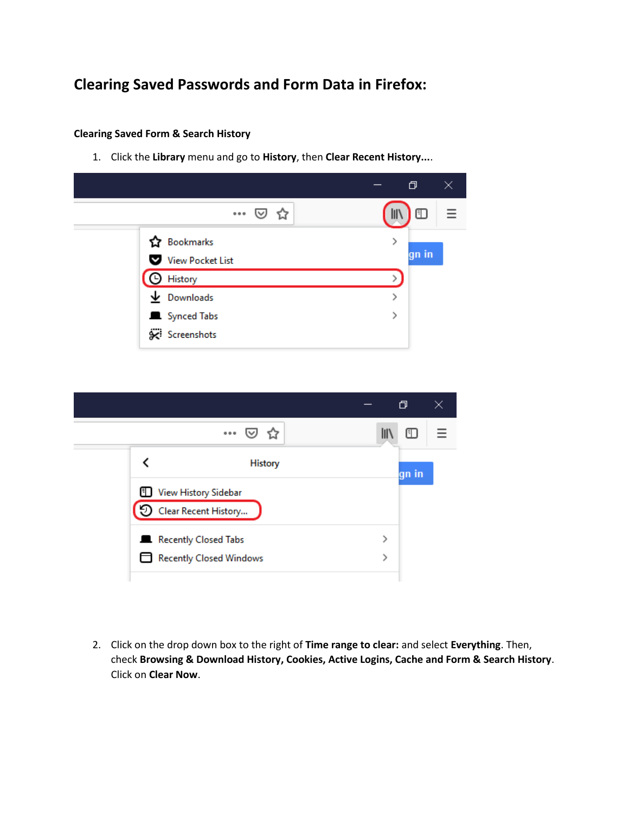## **Clearing Saved Passwords and Form Data in Firefox:**

## **Clearing Saved Form & Search History**

1. Click the **Library** menu and go to **History**, then **Clear Recent History...**.





2. Click on the drop down box to the right of **Time range to clear:** and select **Everything**. Then, check **Browsing & Download History, Cookies, Active Logins, Cache and Form & Search History**. Click on **Clear Now**.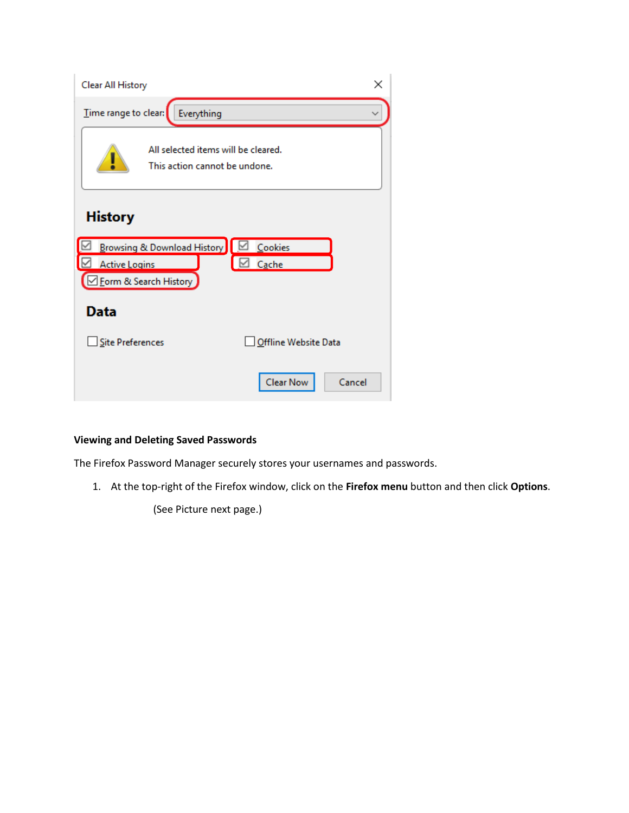| Clear All History       |                                                                      |                      | x      |
|-------------------------|----------------------------------------------------------------------|----------------------|--------|
| Time range to clear:    | Everything                                                           |                      |        |
|                         | All selected items will be cleared.<br>This action cannot be undone. |                      |        |
| <b>History</b>          |                                                                      |                      |        |
| <b>Active Logins</b>    | Browsing & Download History<br>Form & Search History                 | Cookies<br>Cache     |        |
| Data                    |                                                                      |                      |        |
| <b>Site Preferences</b> |                                                                      | Offline Website Data |        |
|                         |                                                                      | Clear Now            | Cancel |

## **Viewing and Deleting Saved Passwords**

The Firefox Password Manager securely stores your usernames and passwords.

1. At the top-right of the Firefox window, click on the **Firefox menu** button and then click **Options**.

(See Picture next page.)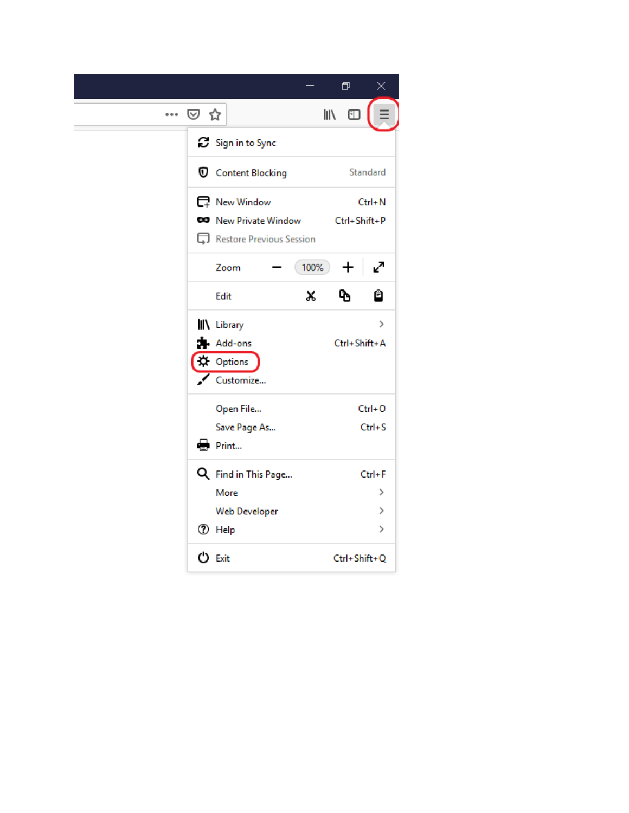